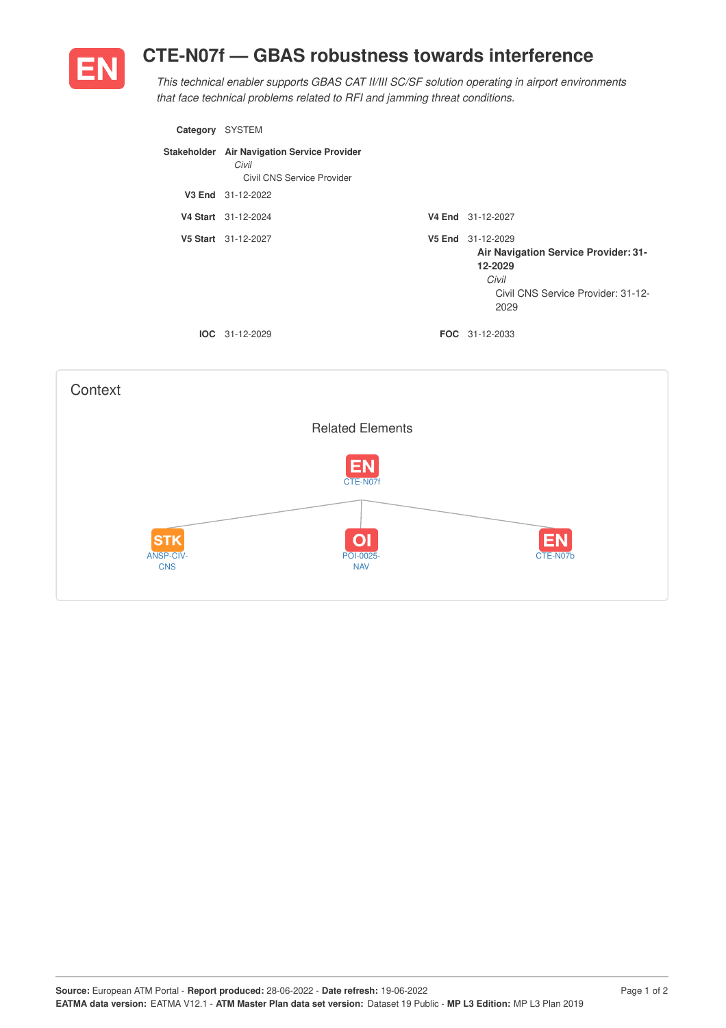## **CTE-N07f — GBAS robustness towards interference**



*This technical enabler supports GBAS CAT II/III SC/SF solution operating in airport environments that face technical problems related to RFI and jamming threat conditions.*

| Category           | <b>SYSTEM</b>                                                                      |        |                                                                                                                      |
|--------------------|------------------------------------------------------------------------------------|--------|----------------------------------------------------------------------------------------------------------------------|
|                    | Stakeholder Air Navigation Service Provider<br>Civil<br>Civil CNS Service Provider |        |                                                                                                                      |
| V <sub>3</sub> End | 31-12-2022                                                                         |        |                                                                                                                      |
|                    | V4 Start 31-12-2024                                                                |        | V4 End 31-12-2027                                                                                                    |
|                    | V5 Start 31-12-2027                                                                | V5 End | 31-12-2029<br>Air Navigation Service Provider: 31-<br>12-2029<br>Civil<br>Civil CNS Service Provider: 31-12-<br>2029 |
|                    | $IOC 31-12-2029$                                                                   |        | <b>FOC</b> 31-12-2033                                                                                                |